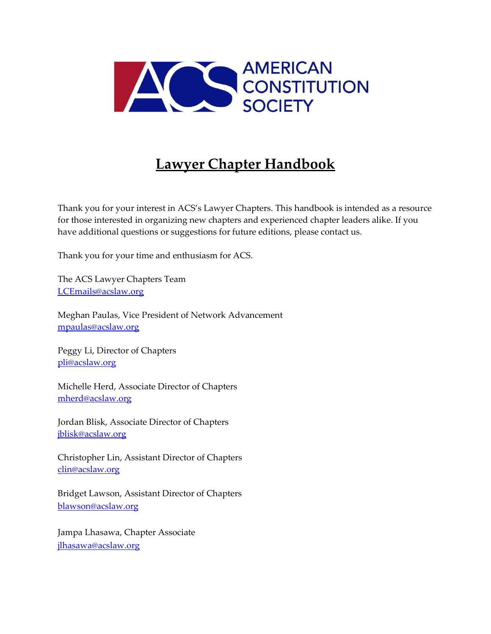

# **Lawyer Chapter Handbook**

Thank you for your interest in ACS's Lawyer Chapters. This handbook is intended as a resource for those interested in organizing new chapters and experienced chapter leaders alike. If you have additional questions or suggestions for future editions, please contact us.

Thank you for your time and enthusiasm for ACS.

The ACS Lawyer Chapters Team [LCEmails@acslaw.org](mailto:LCEmails@acslaw.org)

Meghan Paulas, Vice President of Network Advancement [mpaulas@acslaw.org](mailto:mpaulas@acslaw.org)

Peggy Li, Director of Chapters [pli@acslaw.org](mailto:pli@acslaw.org)

Michelle Herd, Associate Director of Chapters [mherd@acslaw.org](mailto:mherd@acslaw.org)

Jordan Blisk, Associate Director of Chapters [jblisk@acslaw.org](mailto:jblisk@acslaw.org)

Christopher Lin, Assistant Director of Chapters [clin@acslaw.org](mailto:clin@acslaw.org)

Bridget Lawson, Assistant Director of Chapters [blawson@acslaw.org](mailto:blawson@acslaw.org)

Jampa Lhasawa, Chapter Associate [jlhasawa@acslaw.org](mailto:jlhasawa@acslaw.org)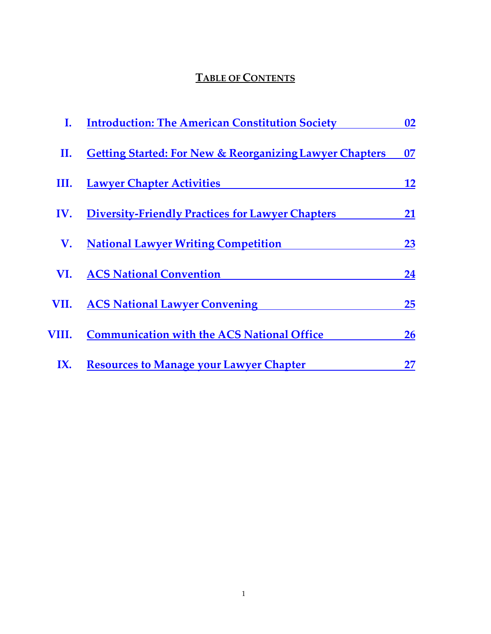# **TABLE OF CONTENTS**

| I.    | <b>Introduction: The American Constitution Society</b>             | 02        |
|-------|--------------------------------------------------------------------|-----------|
| П.    | <b>Getting Started: For New &amp; Reorganizing Lawyer Chapters</b> | 07        |
| Ш.    | <b>Lawyer Chapter Activities</b>                                   | <b>12</b> |
| IV.   | <b>Diversity-Friendly Practices for Lawyer Chapters</b>            | <b>21</b> |
| V.    | <b>National Lawyer Writing Competition</b>                         | 23        |
| VI.   | <b>ACS National Convention</b>                                     | 24        |
| VII.  | <b>ACS National Lawyer Convening</b>                               | 25        |
| VIII. | <b>Communication with the ACS National Office</b>                  | 26        |
| IX.   | <b>Resources to Manage your Lawyer Chapter</b>                     | 27        |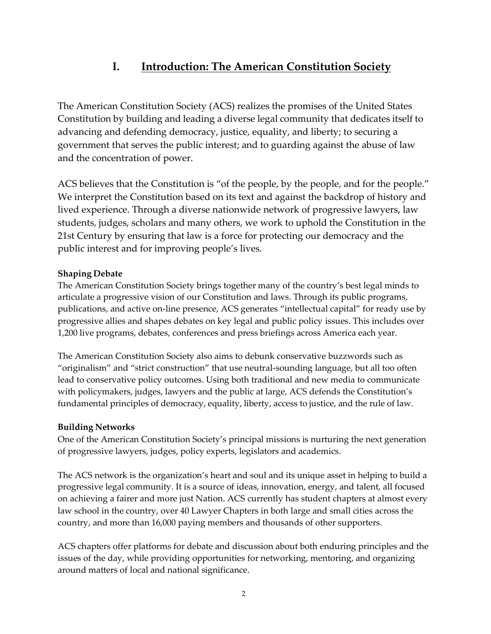# **I. Introduction: The American Constitution Society**

The American Constitution Society (ACS) realizes the promises of the United States Constitution by building and leading a diverse legal community that dedicates itself to advancing and defending democracy, justice, equality, and liberty; to securing a government that serves the public interest; and to guarding against the abuse of law and the concentration of power.

ACS believes that the Constitution is "of the people, by the people, and for the people." We interpret the Constitution based on its text and against the backdrop of history and lived experience. Through a diverse nationwide network of progressive lawyers, law students, judges, scholars and many others, we work to uphold the Constitution in the 21st Century by ensuring that law is a force for protecting our democracy and the public interest and for improving people's lives.

#### **Shaping Debate**

The American Constitution Society brings together many of the country's best legal minds to articulate a progressive vision of our Constitution and laws. Through its public programs, publications, and active on-line presence, ACS generates "intellectual capital" for ready use by progressive allies and shapes debates on key legal and public policy issues. This includes over 1,200 live programs, debates, conferences and press briefings across America each year.

The American Constitution Society also aims to debunk conservative buzzwords such as "originalism" and "strict construction" that use neutral-sounding language, but all too often lead to conservative policy outcomes. Using both traditional and new media to communicate with policymakers, judges, lawyers and the public at large, ACS defends the Constitution's fundamental principles of democracy, equality, liberty, access to justice, and the rule of law.

#### **Building Networks**

One of the American Constitution Society's principal missions is nurturing the next generation of progressive lawyers, judges, policy experts, legislators and academics.

The ACS network is the organization's heart and soul and its unique asset in helping to build a progressive legal community. It is a source of ideas, innovation, energy, and talent, all focused on achieving a fairer and more just Nation. ACS currently has student chapters at almost every law school in the country, over 40 Lawyer Chapters in both large and small cities across the country, and more than 16,000 paying members and thousands of other supporters.

ACS chapters offer platforms for debate and discussion about both enduring principles and the issues of the day, while providing opportunities for networking, mentoring, and organizing around matters of local and national significance.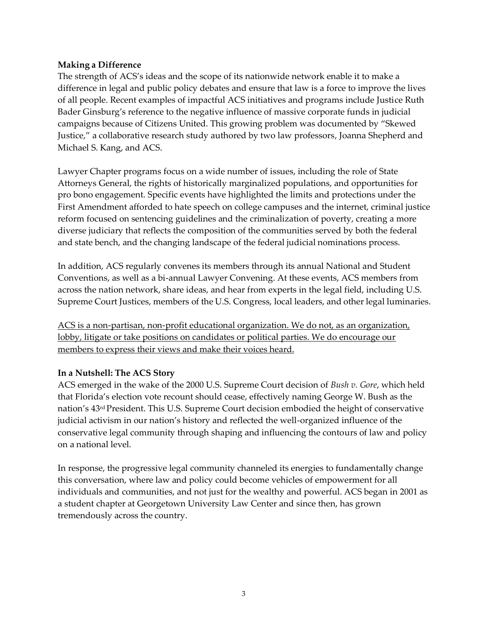#### **Making a Difference**

The strength of ACS's ideas and the scope of its nationwide network enable it to make a difference in legal and public policy debates and ensure that law is a force to improve the lives of all people. Recent examples of impactful ACS initiatives and programs include Justice Ruth Bader Ginsburg's reference to the negative influence of massive corporate funds in judicial campaigns because of Citizens United. This growing problem was documented by "Skewed Justice," a collaborative research study authored by two law professors, Joanna Shepherd and Michael S. Kang, and ACS.

Lawyer Chapter programs focus on a wide number of issues, including the role of State Attorneys General, the rights of historically marginalized populations, and opportunities for pro bono engagement. Specific events have highlighted the limits and protections under the First Amendment afforded to hate speech on college campuses and the internet, criminal justice reform focused on sentencing guidelines and the criminalization of poverty, creating a more diverse judiciary that reflects the composition of the communities served by both the federal and state bench, and the changing landscape of the federal judicial nominations process.

In addition, ACS regularly convenes its members through its annual National and Student Conventions, as well as a bi-annual Lawyer Convening. At these events, ACS members from across the nation network, share ideas, and hear from experts in the legal field, including U.S. Supreme Court Justices, members of the U.S. Congress, local leaders, and other legal luminaries.

ACS is a non-partisan, non-profit educational organization. We do not, as an organization, lobby, litigate or take positions on candidates or political parties. We do encourage our members to express their views and make their voices heard.

#### **In a Nutshell: The ACS Story**

ACS emerged in the wake of the 2000 U.S. Supreme Court decision of *Bush v. Gore*, which held that Florida's election vote recount should cease, effectively naming George W. Bush as the nation's 43rd President. This U.S. Supreme Court decision embodied the height of conservative judicial activism in our nation's history and reflected the well-organized influence of the conservative legal community through shaping and influencing the contours of law and policy on a national level.

In response, the progressive legal community channeled its energies to fundamentally change this conversation, where law and policy could become vehicles of empowerment for all individuals and communities, and not just for the wealthy and powerful. ACS began in 2001 as a student chapter at Georgetown University Law Center and since then, has grown tremendously across the country.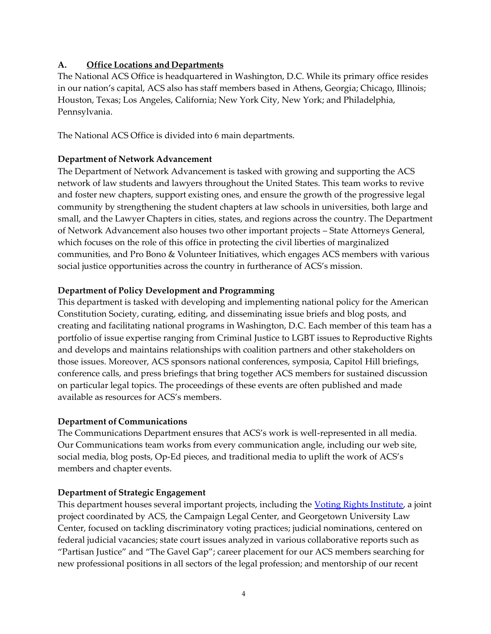### **A. Office Locations and Departments**

The National ACS Office is headquartered in Washington, D.C. While its primary office resides in our nation's capital, ACS also has staff members based in Athens, Georgia; Chicago, Illinois; Houston, Texas; Los Angeles, California; New York City, New York; and Philadelphia, Pennsylvania.

The National ACS Office is divided into 6 main departments.

### **Department of Network Advancement**

The Department of Network Advancement is tasked with growing and supporting the ACS network of law students and lawyers throughout the United States. This team works to revive and foster new chapters, support existing ones, and ensure the growth of the progressive legal community by strengthening the student chapters at law schools in universities, both large and small, and the Lawyer Chapters in cities, states, and regions across the country. The Department of Network Advancement also houses two other important projects – State Attorneys General, which focuses on the role of this office in protecting the civil liberties of marginalized communities, and Pro Bono & Volunteer Initiatives, which engages ACS members with various social justice opportunities across the country in furtherance of ACS's mission.

### **Department of Policy Development and Programming**

This department is tasked with developing and implementing national policy for the American Constitution Society, curating, editing, and disseminating issue briefs and blog posts, and creating and facilitating national programs in Washington, D.C. Each member of this team has a portfolio of issue expertise ranging from Criminal Justice to LGBT issues to Reproductive Rights and develops and maintains relationships with coalition partners and other stakeholders on those issues. Moreover, ACS sponsors national conferences, symposia, Capitol Hill briefings, conference calls, and press briefings that bring together ACS members for sustained discussion on particular legal topics. The proceedings of these events are often published and made available as resources for ACS's members.

#### **Department of Communications**

The Communications Department ensures that ACS's work is well-represented in all media. Our Communications team works from every communication angle, including our web site, social media, blog posts, Op-Ed pieces, and traditional media to uplift the work of ACS's members and chapter events.

### **Department of Strategic Engagement**

This department houses several important projects, including th[e Voting Rights Institute, a](https://www.votingrightsinstitute.org/) joint project coordinated by ACS, the Campaign Legal Center, and Georgetown University Law Center, focused on tackling discriminatory voting practices; judicial nominations, centered on federal judicial vacancies; state court issues analyzed in various collaborative reports such as "Partisan Justice" and "The Gavel Gap"; career placement for our ACS members searching for new professional positions in all sectors of the legal profession; and mentorship of our recent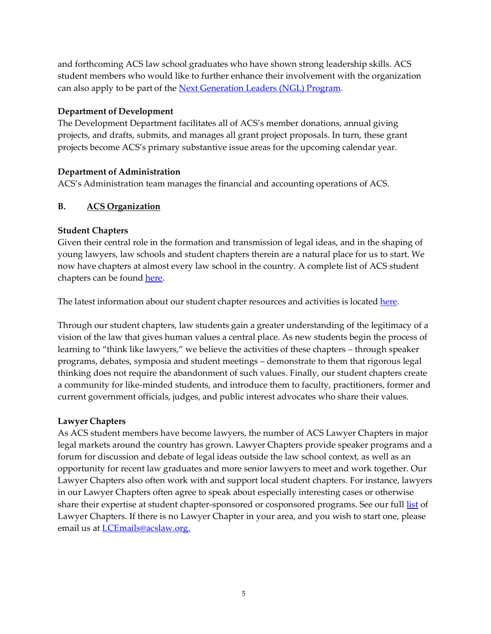and forthcoming ACS law school graduates who have shown strong leadership skills. ACS student members who would like to further enhance their involvement with the organization can also apply to be part of the Next Generation [Leaders \(NGL\)](https://www.acslaw.org/membership/careers/next-generation-leaders/) Program.

### **Department of Development**

The Development Department facilitates all of ACS's member donations, annual giving projects, and drafts, submits, and manages all grant project proposals. In turn, these grant projects become ACS's primary substantive issue areas for the upcoming calendar year.

### **Department of Administration**

ACS's Administration team manages the financial and accounting operations of ACS.

### **B. ACS Organization**

### **Student Chapters**

Given their central role in the formation and transmission of legal ideas, and in the shaping of young lawyers, law schools and student chapters therein are a natural place for us to start. We now have chapters at almost every law school in the country. A complete list of ACS student chapters can be found [here.](https://www.acslaw.org/chapters-list/?state=all&chapter_type=student)

The latest information about our student chapter resources and activities is located [here.](https://www.acslaw.org/acs-chapters/student-chapters/)

Through our student chapters, law students gain a greater understanding of the legitimacy of a vision of the law that gives human values a central place. As new students begin the process of learning to "think like lawyers," we believe the activities of these chapters – through speaker programs, debates, symposia and student meetings – demonstrate to them that rigorous legal thinking does not require the abandonment of such values. Finally, our student chapters create a community for like-minded students, and introduce them to faculty, practitioners, former and current government officials, judges, and public interest advocates who share their values.

#### **Lawyer Chapters**

As ACS student members have become lawyers, the number of ACS Lawyer Chapters in major legal markets around the country has grown. Lawyer Chapters provide speaker programs and a forum for discussion and debate of legal ideas outside the law school context, as well as an opportunity for recent law graduates and more senior lawyers to meet and work together. Our Lawyer Chapters also often work with and support local student chapters. For instance, lawyers in our Lawyer Chapters often agree to speak about especially interesting cases or otherwise share their expertise at student chapter-sponsored or cosponsored programs. See our ful[l list](https://www.acslaw.org/chapters-list/?state=all&chapter_type=lawyer) of Lawyer Chapters. If there is no Lawyer Chapter in your area, and you wish to start one, please email us at [LCEmails@acslaw.org.](mailto:LCEmails@acslaw.org)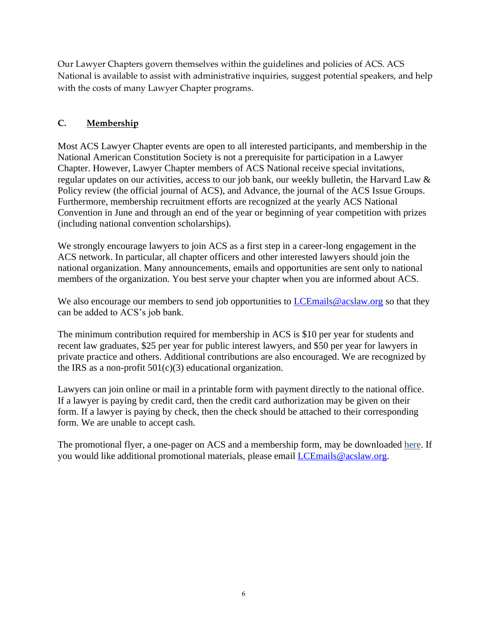Our Lawyer Chapters govern themselves within the guidelines and policies of ACS. ACS National is available to assist with administrative inquiries, suggest potential speakers, and help with the costs of many Lawyer Chapter programs.

### **C. Membership**

Most ACS Lawyer Chapter events are open to all interested participants, and membership in the National American Constitution Society is not a prerequisite for participation in a Lawyer Chapter. However, Lawyer Chapter members of ACS National receive special invitations, regular updates on our activities, access to our job bank, our weekly bulletin, the Harvard Law & Policy review (the official journal of ACS), and Advance, the journal of the ACS Issue Groups. Furthermore, membership recruitment efforts are recognized at the yearly ACS National Convention in June and through an end of the year or beginning of year competition with prizes (including national convention scholarships).

We strongly encourage lawyers to join ACS as a first step in a career-long engagement in the ACS network. In particular, all chapter officers and other interested lawyers should join the national organization. Many announcements, emails and opportunities are sent only to national members of the organization. You best serve your chapter when you are informed about ACS.

We also encourage our members to send job opportunities to LCE mails  $@$  acslaw.org so that they can be added to ACS's job bank.

The minimum contribution required for membership in ACS is \$10 per year for students and recent law graduates, \$25 per year for public interest lawyers, and \$50 per year for lawyers in private practice and others. Additional contributions are also encouraged. We are recognized by the IRS as a non-profit  $501(c)(3)$  educational organization.

Lawyers can join [online](https://getinvolved.acslaw.org/join) or mail in a printable [form](https://www.acslaw.org/acs-chapters/lawyer-chapters/#section-6) with payment directly to the national office. If a lawyer is paying by credit card, then the credit card authorization may be given on their form. If a lawyer is paying by check, then the check should be attached to their corresponding form. We are unable to accept cash.

The promotional flyer, a one-pager on ACS and a membership form, may be downloaded [here. I](https://www.acslaw.org/acs-chapters/lawyer-chapters/)f you would like additional promotional materials, please email [LCEmails@acslaw.org.](mailto:LCEmails@acslaw.org)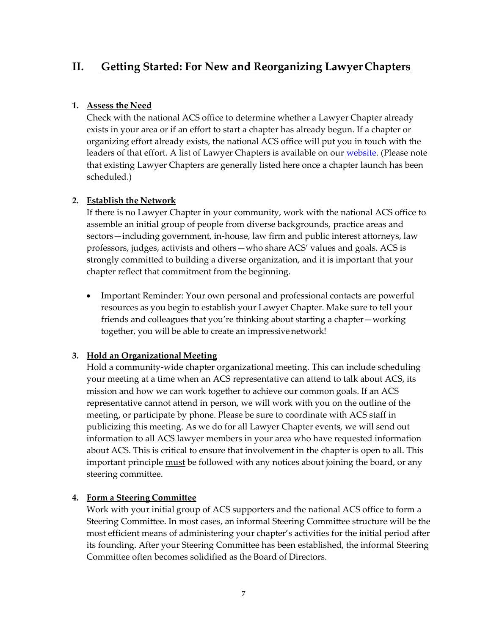# **II. Getting Started: For New and Reorganizing Lawyer Chapters**

### **1. Assess the Need**

Check with the national ACS office to determine whether a Lawyer Chapter already exists in your area or if an effort to start a chapter has already begun. If a chapter or organizing effort already exists, the national ACS office will put you in touch with the leaders of that effort. A list of Lawyer Chapters is available on our *website*. (Please note that existing Lawyer Chapters are generally listed here once a chapter launch has been scheduled.)

### **2. Establish the Network**

If there is no Lawyer Chapter in your community, work with the national ACS office to assemble an initial group of people from diverse backgrounds, practice areas and sectors—including government, in-house, law firm and public interest attorneys, law professors, judges, activists and others—who share ACS' values and goals. ACS is strongly committed to building a diverse organization, and it is important that your chapter reflect that commitment from the beginning.

• Important Reminder: Your own personal and professional contacts are powerful resources as you begin to establish your Lawyer Chapter. Make sure to tell your friends and colleagues that you're thinking about starting a chapter—working together, you will be able to create an impressivenetwork!

### **3. Hold an Organizational Meeting**

Hold a community-wide chapter organizational meeting. This can include scheduling your meeting at a time when an ACS representative can attend to talk about ACS, its mission and how we can work together to achieve our common goals. If an ACS representative cannot attend in person, we will work with you on the outline of the meeting, or participate by phone. Please be sure to coordinate with ACS staff in publicizing this meeting. As we do for all Lawyer Chapter events, we will send out information to all ACS lawyer members in your area who have requested information about ACS. This is critical to ensure that involvement in the chapter is open to all. This important principle must be followed with any notices about joining the board, or any steering committee.

#### **4. Form a Steering Committee**

Work with your initial group of ACS supporters and the national ACS office to form a Steering Committee. In most cases, an informal Steering Committee structure will be the most efficient means of administering your chapter's activities for the initial period after its founding. After your Steering Committee has been established, the informal Steering Committee often becomes solidified as the Board of Directors.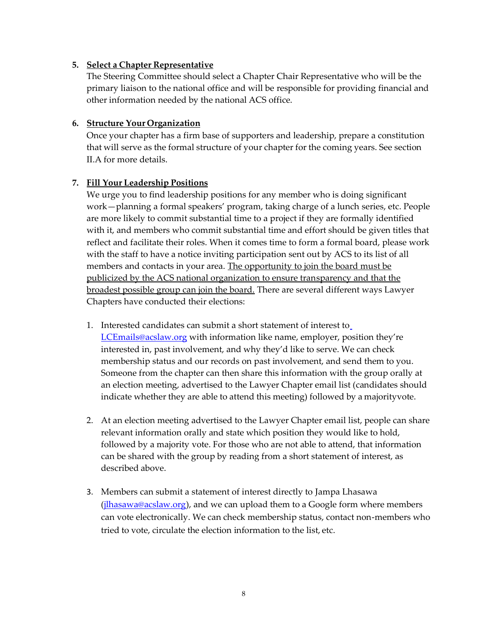### **5. Select a Chapter Representative**

The Steering Committee should select a Chapter Chair Representative who will be the primary liaison to the national office and will be responsible for providing financial and other information needed by the national ACS office.

### **6. Structure Your Organization**

Once your chapter has a firm base of supporters and leadership, prepare a constitution that will serve as the formal structure of your chapter for the coming years. See section II.A for more details.

### **7. Fill Your Leadership Positions**

We urge you to find leadership positions for any member who is doing significant work—planning a formal speakers' program, taking charge of a lunch series, etc. People are more likely to commit substantial time to a project if they are formally identified with it, and members who commit substantial time and effort should be given titles that reflect and facilitate their roles. When it comes time to form a formal board, please work with the staff to have a notice inviting participation sent out by ACS to its list of all members and contacts in your area. The opportunity to join the board must be publicized by the ACS national organization to ensure transparency and that the broadest possible group can join the board. There are several different ways Lawyer Chapters have conducted their elections:

- 1. Interested candidates can submit a short statement of interest to [LCEmails@acslaw.org](mailto:LCEmails@acslaw.org) with information like name, employer, position they're interested in, past involvement, and why they'd like to serve. We can check membership status and our records on past involvement, and send them to you. Someone from the chapter can then share this information with the group orally at an election meeting, advertised to the Lawyer Chapter email list (candidates should indicate whether they are able to attend this meeting) followed by a majorityvote.
- 2. At an election meeting advertised to the Lawyer Chapter email list, people can share relevant information orally and state which position they would like to hold, followed by a majority vote. For those who are not able to attend, that information can be shared with the group by reading from a short statement of interest, as described above.
- 3. Members can submit a statement of interest directly to Jampa Lhasawa (*jlhasawa@acslaw.org*), and we can upload them to a Google form where members can vote electronically. We can check membership status, contact non-members who tried to vote, circulate the election information to the list, etc.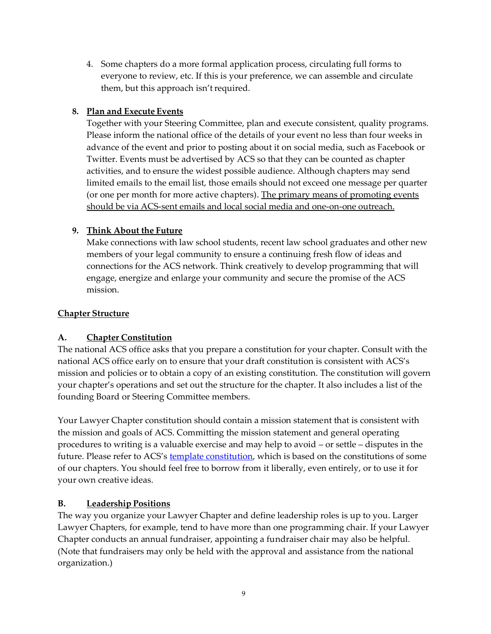4. Some chapters do a more formal application process, circulating full forms to everyone to review, etc. If this is your preference, we can assemble and circulate them, but this approach isn't required.

### **8. Plan and Execute Events**

Together with your Steering Committee, plan and execute consistent, quality programs. Please inform the national office of the details of your event no less than four weeks in advance of the event and prior to posting about it on social media, such as Facebook or Twitter. Events must be advertised by ACS so that they can be counted as chapter activities, and to ensure the widest possible audience. Although chapters may send limited emails to the email list, those emails should not exceed one message per quarter (or one per month for more active chapters). The primary means of promoting events should be via ACS-sent emails and local social media and one-on-one outreach.

### **9. Think About the Future**

Make connections with law school students, recent law school graduates and other new members of your legal community to ensure a continuing fresh flow of ideas and connections for the ACS network. Think creatively to develop programming that will engage, energize and enlarge your community and secure the promise of the ACS mission.

### **Chapter Structure**

### **A. Chapter Constitution**

The national ACS office asks that you prepare a constitution for your chapter. Consult with the national ACS office early on to ensure that your draft constitution is consistent with ACS's mission and policies or to obtain a copy of an existing constitution. The constitution will govern your chapter's operations and set out the structure for the chapter. It also includes a list of the founding Board or Steering Committee members.

Your Lawyer Chapter constitution should contain a mission statement that is consistent with the mission and goals of ACS. Committing the mission statement and general operating procedures to writing is a valuable exercise and may help to avoid – or settle – disputes in the future. Please refer to ACS's [template constitution, w](https://www.acslaw.org/acs-chapters/lawyer-chapters/)hich is based on the constitutions of some of our chapters. You should feel free to borrow from it liberally, even entirely, or to use it for your own creative ideas.

### **B. Leadership Positions**

The way you organize your Lawyer Chapter and define leadership roles is up to you. Larger Lawyer Chapters, for example, tend to have more than one programming chair. If your Lawyer Chapter conducts an annual fundraiser, appointing a fundraiser chair may also be helpful. (Note that fundraisers may only be held with the approval and assistance from the national organization.)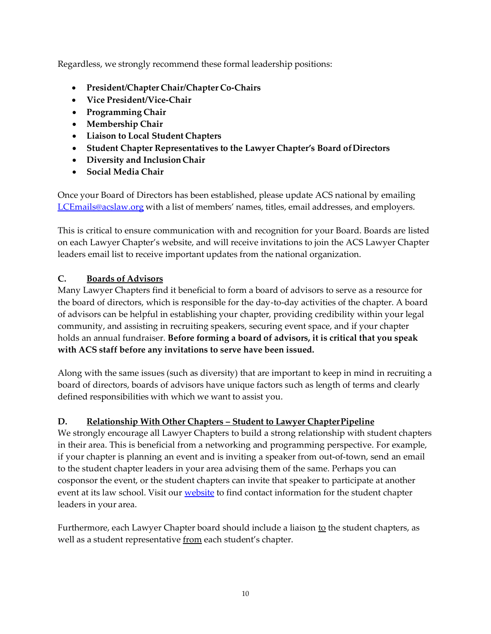Regardless, we strongly recommend these formal leadership positions:

- **President/Chapter Chair/Chapter Co-Chairs**
- **Vice President/Vice-Chair**
- **Programming Chair**
- **Membership Chair**
- **Liaison to Local Student Chapters**
- **Student Chapter Representatives to the Lawyer Chapter's Board ofDirectors**
- **Diversity and InclusionChair**
- **Social Media Chair**

Once your Board of Directors has been established, please update ACS national by emailing [LCEmails@acslaw.org](mailto:LCEmails@acslaw.org) with a list of members' names, titles, email addresses, and employers.

This is critical to ensure communication with and recognition for your Board. Boards are listed on each Lawyer Chapter's website, and will receive invitations to join the ACS Lawyer Chapter leaders email list to receive important updates from the national organization.

### **C. Boards of Advisors**

Many Lawyer Chapters find it beneficial to form a board of advisors to serve as a resource for the board of directors, which is responsible for the day-to-day activities of the chapter. A board of advisors can be helpful in establishing your chapter, providing credibility within your legal community, and assisting in recruiting speakers, securing event space, and if your chapter holds an annual fundraiser. **Before forming a board of advisors, it is critical that you speak with ACS staff before any invitations to serve have been issued.**

Along with the same issues (such as diversity) that are important to keep in mind in recruiting a board of directors, boards of advisors have unique factors such as length of terms and clearly defined responsibilities with which we want to assist you.

### **D. Relationship With Other Chapters – Student to Lawyer ChapterPipeline**

We strongly encourage all Lawyer Chapters to build a strong relationship with student chapters in their area. This is beneficial from a networking and programming perspective. For example, if your chapter is planning an event and is inviting a speaker from out-of-town, send an email to the student chapter leaders in your area advising them of the same. Perhaps you can cosponsor the event, or the student chapters can invite that speaker to participate at another event at its law school. Visit our **website** to find contact information for the student chapter leaders in your area.

Furthermore, each Lawyer Chapter board should include a liaison to the student chapters, as well as a student representative from each student's chapter.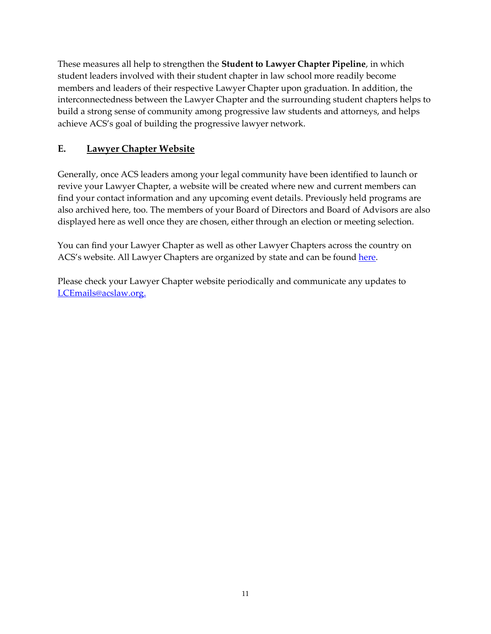These measures all help to strengthen the **Student to Lawyer Chapter Pipeline**, in which student leaders involved with their student chapter in law school more readily become members and leaders of their respective Lawyer Chapter upon graduation. In addition, the interconnectedness between the Lawyer Chapter and the surrounding student chapters helps to build a strong sense of community among progressive law students and attorneys, and helps achieve ACS's goal of building the progressive lawyer network.

### **E. Lawyer Chapter Website**

Generally, once ACS leaders among your legal community have been identified to launch or revive your Lawyer Chapter, a website will be created where new and current members can find your contact information and any upcoming event details. Previously held programs are also archived here, too. The members of your Board of Directors and Board of Advisors are also displayed here as well once they are chosen, either through an election or meeting selection.

You can find your Lawyer Chapter as well as other Lawyer Chapters across the country on ACS's website. All Lawyer Chapters are organized by state and can be found [here.](https://www.acslaw.org/chapters-list/?state=all&chapter_type=lawyer)

Please check your Lawyer Chapter website periodically and communicate any updates to [LCEmails@acslaw.org.](mailto:LCEmails@acslaw.org)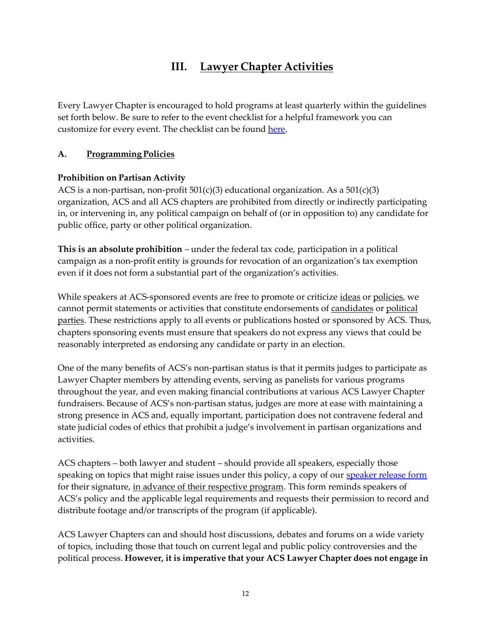# **III. Lawyer Chapter Activities**

Every Lawyer Chapter is encouraged to hold programs at least quarterly within the guidelines set forth below. Be sure to refer to the event checklist for a helpful framework you can customize for every event. The checklist can be found [here.](https://www.acslaw.org/acs-chapters/lawyer-chapters/)

### **A. Programming Policies**

### **Prohibition on Partisan Activity**

ACS is a non-partisan, non-profit  $501(c)(3)$  educational organization. As a  $501(c)(3)$ organization, ACS and all ACS chapters are prohibited from directly or indirectly participating in, or intervening in, any political campaign on behalf of (or in opposition to) any candidate for public office, party or other political organization.

**This is an absolute prohibition** – under the federal tax code, participation in a political campaign as a non-profit entity is grounds for revocation of an organization's tax exemption even if it does not form a substantial part of the organization's activities.

While speakers at ACS-sponsored events are free to promote or criticize ideas or policies, we cannot permit statements or activities that constitute endorsements of candidates or political parties. These restrictions apply to all events or publications hosted or sponsored by ACS. Thus, chapters sponsoring events must ensure that speakers do not express any views that could be reasonably interpreted as endorsing any candidate or party in an election.

One of the many benefits of ACS's non-partisan status is that it permits judges to participate as Lawyer Chapter members by attending events, serving as panelists for various programs throughout the year, and even making financial contributions at various ACS Lawyer Chapter fundraisers. Because of ACS's non-partisan status, judges are more at ease with maintaining a strong presence in ACS and, equally important, participation does not contravene federal and state judicial codes of ethics that prohibit a judge's involvement in partisan organizations and activities.

ACS chapters – both lawyer and student – should provide all speakers, especially those speaking on topics that might raise issues under this policy, a copy of our **speaker release form** for their signature, in advance of their respective program. This form reminds speakers of ACS's policy and the applicable legal requirements and requests their permission to record and distribute footage and/or transcripts of the program (if applicable).

ACS Lawyer Chapters can and should host discussions, debates and forums on a wide variety of topics, including those that touch on current legal and public policy controversies and the political process. **However, it is imperative that your ACS Lawyer Chapter does not engage in**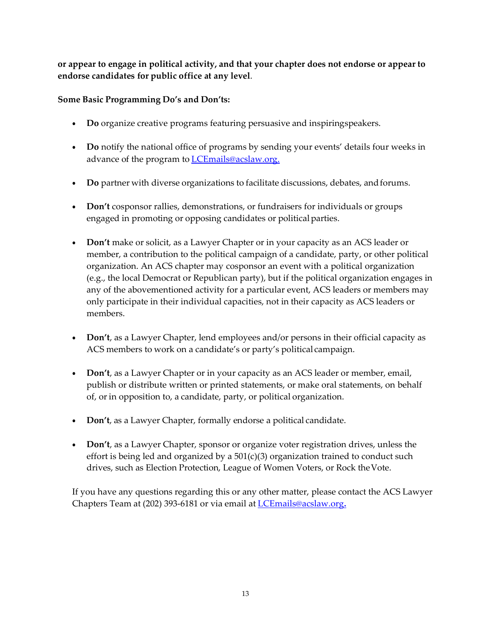**or appear to engage in political activity, and that your chapter does not endorse or appear to endorse candidates for public office at any level**.

### **Some Basic Programming Do's and Don'ts:**

- **Do** organize creative programs featuring persuasive and inspiringspeakers.
- **Do** notify the national office of programs by sending your events' details four weeks in advance of the program to **[LCEmails@acslaw.org.](mailto:LCEmails@acslaw.org)**
- **Do** partner with diverse organizations to facilitate discussions, debates, andforums.
- **Don't** cosponsor rallies, demonstrations, or fundraisers for individuals or groups engaged in promoting or opposing candidates or political parties.
- **Don't** make or solicit, as a Lawyer Chapter or in your capacity as an ACS leader or member, a contribution to the political campaign of a candidate, party, or other political organization. An ACS chapter may cosponsor an event with a political organization (e.g., the local Democrat or Republican party), but if the political organization engages in any of the abovementioned activity for a particular event, ACS leaders or members may only participate in their individual capacities, not in their capacity as ACS leaders or members.
- **Don't**, as a Lawyer Chapter, lend employees and/or persons in their official capacity as ACS members to work on a candidate's or party's political campaign.
- **Don't**, as a Lawyer Chapter or in your capacity as an ACS leader or member, email, publish or distribute written or printed statements, or make oral statements, on behalf of, or in opposition to, a candidate, party, or political organization.
- **Don't**, as a Lawyer Chapter, formally endorse a political candidate.
- **Don't**, as a Lawyer Chapter, sponsor or organize voter registration drives, unless the effort is being led and organized by a  $501(c)(3)$  organization trained to conduct such drives, such as Election Protection, League of Women Voters, or Rock theVote.

If you have any questions regarding this or any other matter, please contact the ACS Lawyer Chapters Team at (202) 393-6181 or via email at [LCEmails@acslaw.org](mailto:LCEmails@acslaw.org)**.**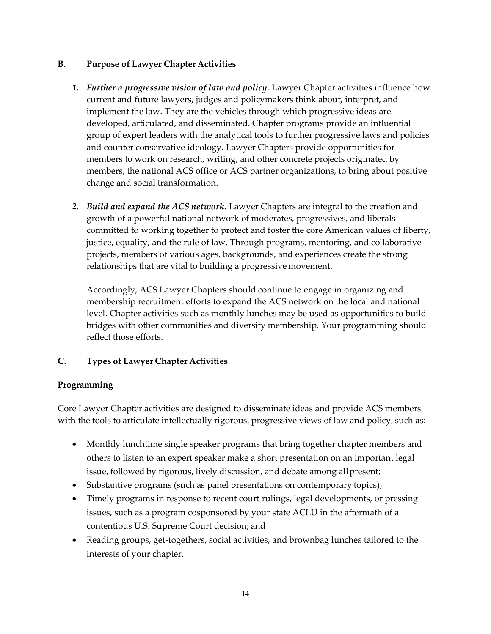### **B. Purpose of Lawyer Chapter Activities**

- *1. Further a progressive vision of law and policy.* Lawyer Chapter activities influence how current and future lawyers, judges and policymakers think about, interpret, and implement the law. They are the vehicles through which progressive ideas are developed, articulated, and disseminated. Chapter programs provide an influential group of expert leaders with the analytical tools to further progressive laws and policies and counter conservative ideology. Lawyer Chapters provide opportunities for members to work on research, writing, and other concrete projects originated by members, the national ACS office or ACS partner organizations, to bring about positive change and social transformation.
- *2. Build and expand the ACS network.* Lawyer Chapters are integral to the creation and growth of a powerful national network of moderates, progressives, and liberals committed to working together to protect and foster the core American values of liberty, justice, equality, and the rule of law. Through programs, mentoring, and collaborative projects, members of various ages, backgrounds, and experiences create the strong relationships that are vital to building a progressive movement.

Accordingly, ACS Lawyer Chapters should continue to engage in organizing and membership recruitment efforts to expand the ACS network on the local and national level. Chapter activities such as monthly lunches may be used as opportunities to build bridges with other communities and diversify membership. Your programming should reflect those efforts.

### **C. Types of Lawyer Chapter Activities**

### **Programming**

Core Lawyer Chapter activities are designed to disseminate ideas and provide ACS members with the tools to articulate intellectually rigorous, progressive views of law and policy, such as:

- Monthly lunchtime single speaker programs that bring together chapter members and others to listen to an expert speaker make a short presentation on an important legal issue, followed by rigorous, lively discussion, and debate among allpresent;
- Substantive programs (such as panel presentations on contemporary topics);
- Timely programs in response to recent court rulings, legal developments, or pressing issues, such as a program cosponsored by your state ACLU in the aftermath of a contentious U.S. Supreme Court decision; and
- Reading groups, get-togethers, social activities, and brownbag lunches tailored to the interests of your chapter.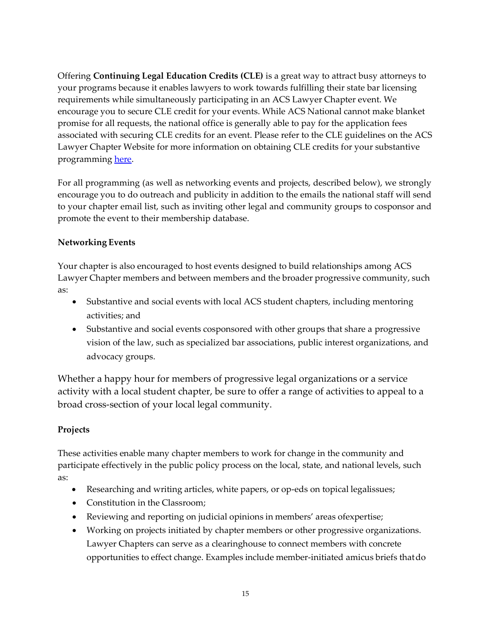Offering **Continuing Legal Education Credits (CLE)** is a great way to attract busy attorneys to your programs because it enables lawyers to work towards fulfilling their state bar licensing requirements while simultaneously participating in an ACS Lawyer Chapter event. We encourage you to secure CLE credit for your events. While ACS National cannot make blanket promise for all requests, the national office is generally able to pay for the application fees associated with securing CLE credits for an event. Please refer to the CLE guidelines on the ACS Lawyer Chapter Website for more information on obtaining CLE credits for your substantive programming [here.](https://www.acslaw.org/wp-content/uploads/2020/08/CLE-Credits_Lawyer-Chapters_081920.pdf)

For all programming (as well as networking events and projects, described below), we strongly encourage you to do outreach and publicity in addition to the emails the national staff will send to your chapter email list, such as inviting other legal and community groups to cosponsor and promote the event to their membership database.

### **Networking Events**

Your chapter is also encouraged to host events designed to build relationships among ACS Lawyer Chapter members and between members and the broader progressive community, such as:

- Substantive and social events with local ACS student chapters, including mentoring activities; and
- Substantive and social events cosponsored with other groups that share a progressive vision of the law, such as specialized bar associations, public interest organizations, and advocacy groups.

Whether a happy hour for members of progressive legal organizations or a service activity with a local student chapter, be sure to offer a range of activities to appeal to a broad cross-section of your local legal community.

### **Projects**

These activities enable many chapter members to work for change in the community and participate effectively in the public policy process on the local, state, and national levels, such as:

- Researching and writing articles, white papers, or op-eds on topical legalissues;
- Constitution in the Classroom;
- Reviewing and reporting on judicial opinions in members' areas ofexpertise;
- Working on projects initiated by chapter members or other progressive organizations. Lawyer Chapters can serve as a clearinghouse to connect members with concrete opportunities to effect change. Examples include member-initiated amicus briefs thatdo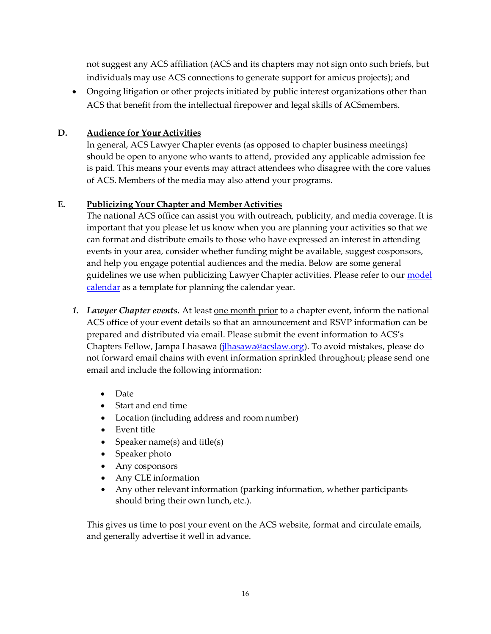not suggest any ACS affiliation (ACS and its chapters may not sign onto such briefs, but individuals may use ACS connections to generate support for amicus projects); and

• Ongoing litigation or other projects initiated by public interest organizations other than ACS that benefit from the intellectual firepower and legal skills of ACSmembers.

### **D. Audience for Your Activities**

In general, ACS Lawyer Chapter events (as opposed to chapter business meetings) should be open to anyone who wants to attend, provided any applicable admission fee is paid. This means your events may attract attendees who disagree with the core values of ACS. Members of the media may also attend your programs.

### **E. Publicizing Your Chapter and Member Activities**

The national ACS office can assist you with outreach, publicity, and media coverage. It is important that you please let us know when you are planning your activities so that we can format and distribute emails to those who have expressed an interest in attending events in your area, consider whether funding might be available, suggest cosponsors, and help you engage potential audiences and the media. Below are some general guidelines we use when publicizing Lawyer Chapter activities. Please refer to our [model](https://www.acslaw.org/wp-content/uploads/2020/01/2020-ACS-Model-Calendar-LC.pdf) [calendar](https://www.acslaw.org/wp-content/uploads/2020/01/2020-ACS-Model-Calendar-LC.pdf) as a template for planning the calendar year.

- *1. Lawyer Chapter events.* At least one month prior to a chapter event, inform the national ACS office of your event details so that an announcement and RSVP information can be prepared and distributed via email. Please submit the event information to ACS's Chapters Fellow, Jampa Lhasawa (*jlhasawa@acslaw.org*). To avoid mistakes, please do not forward email chains with event information sprinkled throughout; please send one email and include the following information:
	- Date
	- Start and end time
	- Location (including address and roomnumber)
	- Event title
	- Speaker name(s) and title(s)
	- Speaker photo
	- Any cosponsors
	- Any CLE information
	- Any other relevant information (parking information, whether participants should bring their own lunch, etc.).

This gives us time to post your event on the ACS website, format and circulate emails, and generally advertise it well in advance.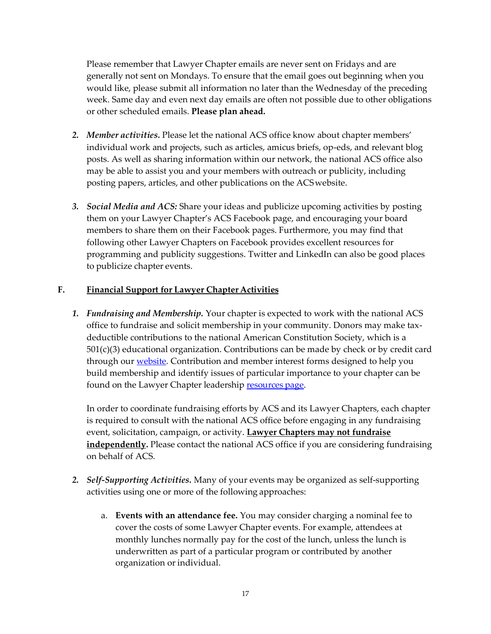Please remember that Lawyer Chapter emails are never sent on Fridays and are generally not sent on Mondays. To ensure that the email goes out beginning when you would like, please submit all information no later than the Wednesday of the preceding week. Same day and even next day emails are often not possible due to other obligations or other scheduled emails. **Please plan ahead.**

- *2. Member activities.* Please let the national ACS office know about chapter members' individual work and projects, such as articles, amicus briefs, op-eds, and relevant blog posts. As well as sharing information within our network, the national ACS office also may be able to assist you and your members with outreach or publicity, including posting papers, articles, and other publications on the ACSwebsite.
- *3. Social Media and ACS:* Share your ideas and publicize upcoming activities by posting them on your Lawyer Chapter's ACS Facebook page, and encouraging your board members to share them on their Facebook pages. Furthermore, you may find that following other Lawyer Chapters on Facebook provides excellent resources for programming and publicity suggestions. Twitter and LinkedIn can also be good places to publicize chapter events.

### **F. Financial Support for Lawyer Chapter Activities**

*1. Fundraising and Membership.* Your chapter is expected to work with the national ACS office to fundraise and solicit membership in your community. Donors may make taxdeductible contributions to the national American Constitution Society, which is a 501(c)(3) educational organization. Contributions can be made by check or by credit card through our [website. C](https://getinvolved.acslaw.org/join)ontribution and member interest forms designed to help you build membership and identify issues of particular importance to your chapter can be found on the Lawyer Chapter leadership [resources](https://www.acslaw.org/acs-chapters/lawyer-chapters/) page.

In order to coordinate fundraising efforts by ACS and its Lawyer Chapters, each chapter is required to consult with the national ACS office before engaging in any fundraising event, solicitation, campaign, or activity. **Lawyer Chapters may not fundraise independently.** Please contact the national ACS office if you are considering fundraising on behalf of ACS.

- *2. Self-Supporting Activities.* Many of your events may be organized as self-supporting activities using one or more of the following approaches:
	- a. **Events with an attendance fee.** You may consider charging a nominal fee to cover the costs of some Lawyer Chapter events. For example, attendees at monthly lunches normally pay for the cost of the lunch, unless the lunch is underwritten as part of a particular program or contributed by another organization or individual.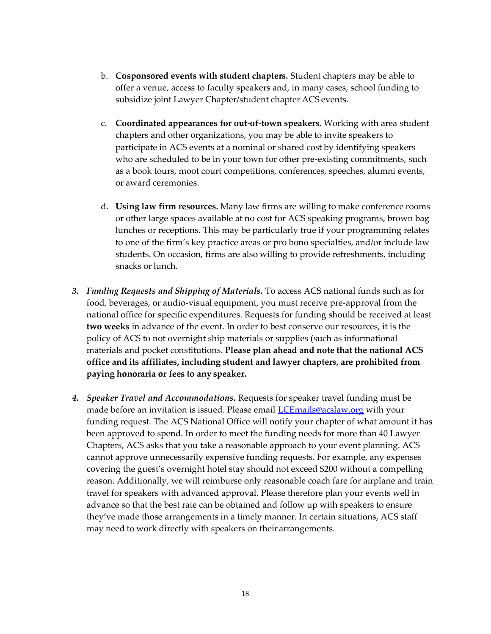- b. **Cosponsored events with student chapters.** Student chapters may be able to offer a venue, access to faculty speakers and, in many cases, school funding to subsidize joint Lawyer Chapter/student chapter ACS events.
- c. **Coordinated appearances for out-of-town speakers.** Working with area student chapters and other organizations, you may be able to invite speakers to participate in ACS events at a nominal or shared cost by identifying speakers who are scheduled to be in your town for other pre-existing commitments, such as a book tours, moot court competitions, conferences, speeches, alumni events, or award ceremonies.
- d. **Using law firm resources.** Many law firms are willing to make conference rooms or other large spaces available at no cost for ACS speaking programs, brown bag lunches or receptions. This may be particularly true if your programming relates to one of the firm's key practice areas or pro bono specialties, and/or include law students. On occasion, firms are also willing to provide refreshments, including snacks or lunch.
- *3. Funding Requests and Shipping of Materials.* To access ACS national funds such as for food, beverages, or audio-visual equipment, you must receive pre-approval from the national office for specific expenditures. Requests for funding should be received at least **two weeks** in advance of the event. In order to best conserve our resources, it is the policy of ACS to not overnight ship materials or supplies (such as informational materials and pocket constitutions. **Please plan ahead and note that the national ACS office and its affiliates, including student and lawyer chapters, are prohibited from paying honoraria or fees to any speaker.**
- *4. Speaker Travel and Accommodations.* Requests for speaker travel funding must be made before an invitation is issued. Please email *[LCEmails@acslaw.org](mailto:LCEmails@acslaw.org)* with your funding request. The ACS National Office will notify your chapter of what amount it has been approved to spend. In order to meet the funding needs for more than 40 Lawyer Chapters, ACS asks that you take a reasonable approach to your event planning. ACS cannot approve unnecessarily expensive funding requests. For example, any expenses covering the guest's overnight hotel stay should not exceed \$200 without a compelling reason. Additionally, we will reimburse only reasonable coach fare for airplane and train travel for speakers with advanced approval. Please therefore plan your events well in advance so that the best rate can be obtained and follow up with speakers to ensure they've made those arrangements in a timely manner. In certain situations, ACS staff may need to work directly with speakers on their arrangements.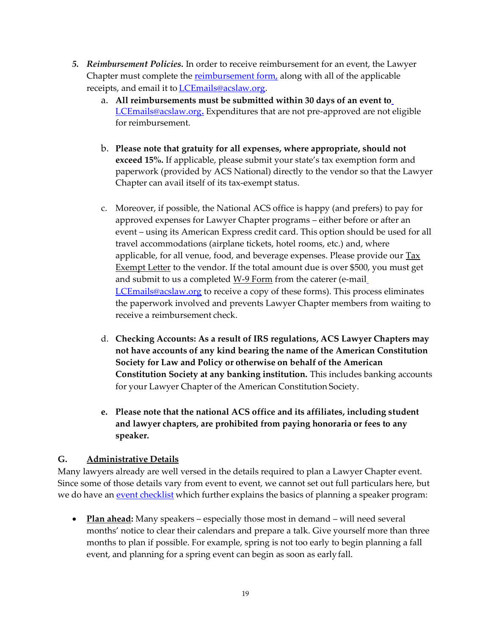- *5. Reimbursement Policies.* In order to receive reimbursement for an event, the Lawyer Chapter must complete the [reimbursement form,](https://www.acslaw.org/wp-content/uploads/2020/10/ACS-Lawyer-Chapter-Reimbursement-Form-10.1.20.pdf) along with all of the applicable receipts, and email it to *LCEmails@acslaw.org*.
	- a. **All reimbursements must be submitted within 30 days of an event to** [LCEmails@acslaw.org](mailto:LCEmails@acslaw.org)**.** Expenditures that are not pre-approved are not eligible for reimbursement.
	- b. **Please note that gratuity for all expenses, where appropriate, should not exceed 15%.** If applicable, please submit your state's tax exemption form and paperwork (provided by ACS National) directly to the vendor so that the Lawyer Chapter can avail itself of its tax-exempt status.
	- c. Moreover, if possible, the National ACS office is happy (and prefers) to pay for approved expenses for Lawyer Chapter programs – either before or after an event – using its American Express credit card. This option should be used for all travel accommodations (airplane tickets, hotel rooms, etc.) and, where applicable, for all venue, food, and beverage expenses. Please provide our [Tax](https://www.acslaw.org/wp-content/uploads/2018/10/ACS_IRS_Tax_Exempt_Letter.pdf) [Exempt Letter](https://www.acslaw.org/wp-content/uploads/2018/10/ACS_IRS_Tax_Exempt_Letter.pdf) to the vendor. If the total amount due is over \$500, you must get and submit to us a completed  $W-9$  Form from the caterer (e-ma[il](mailto:LCEmails@acslaw.org) [LCEmails@acslaw.org](mailto:LCEmails@acslaw.org) to receive a copy of these forms). This process eliminates the paperwork involved and prevents Lawyer Chapter members from waiting to receive a reimbursement check.
	- d. **Checking Accounts: As a result of IRS regulations, ACS Lawyer Chapters may not have accounts of any kind bearing the name of the American Constitution Society for Law and Policy or otherwise on behalf of the American Constitution Society at any banking institution.** This includes banking accounts for your Lawyer Chapter of the American Constitution Society.
	- **e. Please note that the national ACS office and its affiliates, including student and lawyer chapters, are prohibited from paying honoraria or fees to any speaker.**

### **G. Administrative Details**

Many lawyers already are well versed in the details required to plan a Lawyer Chapter event. Since some of those details vary from event to event, we cannot set out full particulars here, but we do have an event [checklist](https://www.acslaw.org/acs-chapters/lawyer-chapters/) which further explains the basics of planning a speaker program:

• **Plan ahead:** Many speakers – especially those most in demand – will need several months' notice to clear their calendars and prepare a talk. Give yourself more than three months to plan if possible. For example, spring is not too early to begin planning a fall event, and planning for a spring event can begin as soon as earlyfall.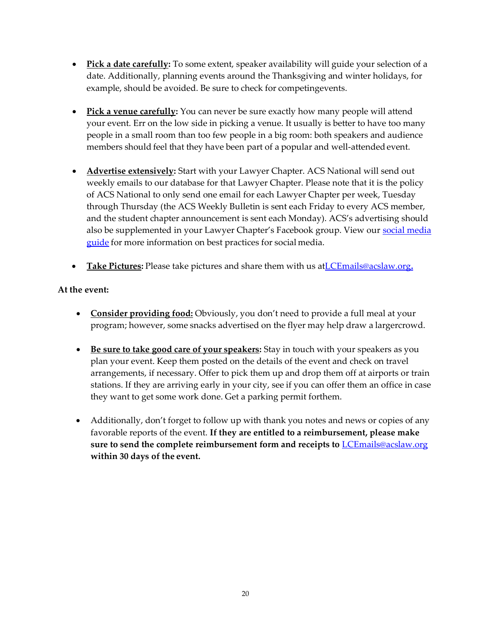- **Pick a date carefully:** To some extent, speaker availability will guide your selection of a date. Additionally, planning events around the Thanksgiving and winter holidays, for example, should be avoided. Be sure to check for competingevents.
- **Pick a venue carefully:** You can never be sure exactly how many people will attend your event. Err on the low side in picking a venue. It usually is better to have too many people in a small room than too few people in a big room: both speakers and audience members should feel that they have been part of a popular and well-attended event.
- **Advertise extensively:** Start with your Lawyer Chapter. ACS National will send out weekly emails to our database for that Lawyer Chapter. Please note that it is the policy of ACS National to only send one email for each Lawyer Chapter per week, Tuesday through Thursday (the ACS Weekly Bulletin is sent each Friday to every ACS member, and the student chapter announcement is sent each Monday). ACS's advertising should also be supplemented in your Lawyer Chapter's Facebook group. View our [social media](https://www.acslaw.org/acs-chapters/lawyer-chapters/) [guide](https://www.acslaw.org/acs-chapters/lawyer-chapters/) for more information on best practices for social media.
- **Take Pictures:** Please take pictures and share them with us a[tLCEmails@acslaw.org](mailto:LCEmails@acslaw.org)**.**

### **At the event:**

- **Consider providing food:** Obviously, you don't need to provide a full meal at your program; however, some snacks advertised on the flyer may help draw a largercrowd.
- **Be sure to take good care of your speakers:** Stay in touch with your speakers as you plan your event. Keep them posted on the details of the event and check on travel arrangements, if necessary. Offer to pick them up and drop them off at airports or train stations. If they are arriving early in your city, see if you can offer them an office in case they want to get some work done. Get a parking permit forthem.
- Additionally, don't forget to follow up with thank you notes and news or copies of any favorable reports of the event. **If they are entitled to a reimbursement, please make sure to send the complete reimbursement form and receipts to** [LCEmails@acslaw.org](mailto:LCEmails@acslaw.org) **within 30 days of the event.**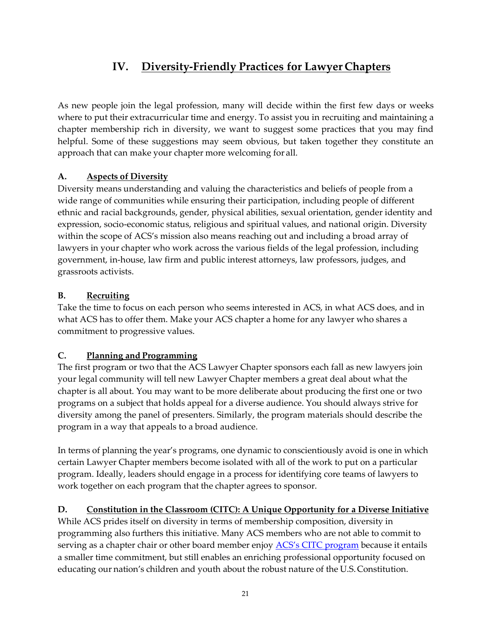# **IV. Diversity-Friendly Practices for Lawyer Chapters**

As new people join the legal profession, many will decide within the first few days or weeks where to put their extracurricular time and energy. To assist you in recruiting and maintaining a chapter membership rich in diversity, we want to suggest some practices that you may find helpful. Some of these suggestions may seem obvious, but taken together they constitute an approach that can make your chapter more welcoming for all.

### **A. Aspects of Diversity**

Diversity means understanding and valuing the characteristics and beliefs of people from a wide range of communities while ensuring their participation, including people of different ethnic and racial backgrounds, gender, physical abilities, sexual orientation, gender identity and expression, socio-economic status, religious and spiritual values, and national origin. Diversity within the scope of ACS's mission also means reaching out and including a broad array of lawyers in your chapter who work across the various fields of the legal profession, including government, in-house, law firm and public interest attorneys, law professors, judges, and grassroots activists.

### **B. Recruiting**

Take the time to focus on each person who seems interested in ACS, in what ACS does, and in what ACS has to offer them. Make your ACS chapter a home for any lawyer who shares a commitment to progressive values.

### **C. Planning and Programming**

The first program or two that the ACS Lawyer Chapter sponsors each fall as new lawyers join your legal community will tell new Lawyer Chapter members a great deal about what the chapter is all about. You may want to be more deliberate about producing the first one or two programs on a subject that holds appeal for a diverse audience. You should always strive for diversity among the panel of presenters. Similarly, the program materials should describe the program in a way that appeals to a broad audience.

In terms of planning the year's programs, one dynamic to conscientiously avoid is one in which certain Lawyer Chapter members become isolated with all of the work to put on a particular program. Ideally, leaders should engage in a process for identifying core teams of lawyers to work together on each program that the chapter agrees to sponsor.

### **D. Constitution in the Classroom (CITC): A Unique Opportunity for a Diverse Initiative**

While ACS prides itself on diversity in terms of membership composition, diversity in programming also furthers this initiative. Many ACS members who are not able to commit to serving as a chapter chair or other board member enjoy **ACS's CITC** program because it entails a smaller time commitment, but still enables an enriching professional opportunity focused on educating our nation's children and youth about the robust nature of the U.S.Constitution.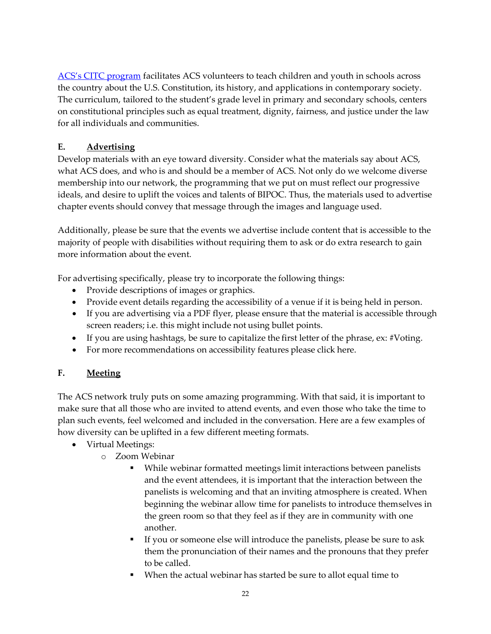[ACS's CITC program](https://www.acslaw.org/get-involved/volunteer-opportunities/constitution-in-the-classroom/) facilitates ACS volunteers to teach children and youth in schools across the country about the U.S. Constitution, its history, and applications in contemporary society. The curriculum, tailored to the student's grade level in primary and secondary schools, centers on constitutional principles such as equal treatment, dignity, fairness, and justice under the law for all individuals and communities.

### **E. Advertising**

Develop materials with an eye toward diversity. Consider what the materials say about ACS, what ACS does, and who is and should be a member of ACS. Not only do we welcome diverse membership into our network, the programming that we put on must reflect our progressive ideals, and desire to uplift the voices and talents of BIPOC. Thus, the materials used to advertise chapter events should convey that message through the images and language used.

Additionally, please be sure that the events we advertise include content that is accessible to the majority of people with disabilities without requiring them to ask or do extra research to gain more information about the event.

For advertising specifically, please try to incorporate the following things:

- Provide descriptions of images or graphics.
- Provide event details regarding the accessibility of a venue if it is being held in person.
- If you are advertising via a PDF flyer, please ensure that the material is accessible through screen readers; i.e. this might include not using bullet points.
- If you are using hashtags, be sure to capitalize the first letter of the phrase,  $ex: \#Voting$ .
- For more recommendations on accessibility features please click here.

### **F. Meeting**

The ACS network truly puts on some amazing programming. With that said, it is important to make sure that all those who are invited to attend events, and even those who take the time to plan such events, feel welcomed and included in the conversation. Here are a few examples of how diversity can be uplifted in a few different meeting formats.

- Virtual Meetings:
	- o Zoom Webinar
		- While webinar formatted meetings limit interactions between panelists and the event attendees, it is important that the interaction between the panelists is welcoming and that an inviting atmosphere is created. When beginning the webinar allow time for panelists to introduce themselves in the green room so that they feel as if they are in community with one another.
		- If you or someone else will introduce the panelists, please be sure to ask them the pronunciation of their names and the pronouns that they prefer to be called.
		- When the actual webinar has started be sure to allot equal time to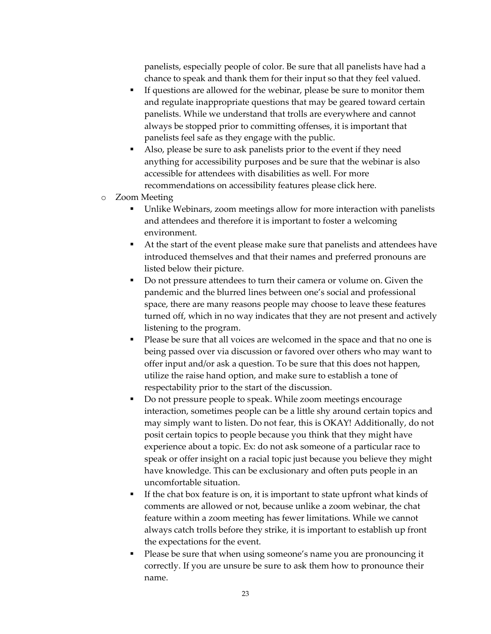panelists, especially people of color. Be sure that all panelists have had a chance to speak and thank them for their input so that they feel valued.

- If questions are allowed for the webinar, please be sure to monitor them and regulate inappropriate questions that may be geared toward certain panelists. While we understand that trolls are everywhere and cannot always be stopped prior to committing offenses, it is important that panelists feel safe as they engage with the public.
- Also, please be sure to ask panelists prior to the event if they need anything for accessibility purposes and be sure that the webinar is also accessible for attendees with disabilities as well. For more recommendations on accessibility features please click here.
- o Zoom Meeting
	- Unlike Webinars, zoom meetings allow for more interaction with panelists and attendees and therefore it is important to foster a welcoming environment.
	- At the start of the event please make sure that panelists and attendees have introduced themselves and that their names and preferred pronouns are listed below their picture.
	- Do not pressure attendees to turn their camera or volume on. Given the pandemic and the blurred lines between one's social and professional space, there are many reasons people may choose to leave these features turned off, which in no way indicates that they are not present and actively listening to the program.
	- Please be sure that all voices are welcomed in the space and that no one is being passed over via discussion or favored over others who may want to offer input and/or ask a question. To be sure that this does not happen, utilize the raise hand option, and make sure to establish a tone of respectability prior to the start of the discussion.
	- Do not pressure people to speak. While zoom meetings encourage interaction, sometimes people can be a little shy around certain topics and may simply want to listen. Do not fear, this is OKAY! Additionally, do not posit certain topics to people because you think that they might have experience about a topic. Ex: do not ask someone of a particular race to speak or offer insight on a racial topic just because you believe they might have knowledge. This can be exclusionary and often puts people in an uncomfortable situation.
	- If the chat box feature is on, it is important to state upfront what kinds of comments are allowed or not, because unlike a zoom webinar, the chat feature within a zoom meeting has fewer limitations. While we cannot always catch trolls before they strike, it is important to establish up front the expectations for the event.
	- Please be sure that when using someone's name you are pronouncing it correctly. If you are unsure be sure to ask them how to pronounce their name.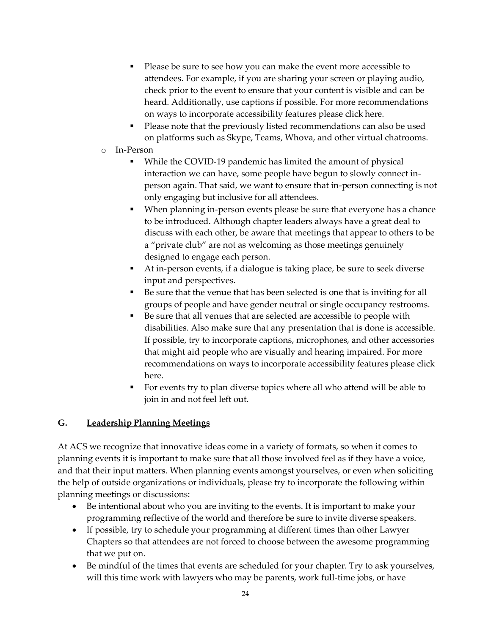- Please be sure to see how you can make the event more accessible to attendees. For example, if you are sharing your screen or playing audio, check prior to the event to ensure that your content is visible and can be heard. Additionally, use captions if possible. For more recommendations on ways to incorporate accessibility features please click here.
- Please note that the previously listed recommendations can also be used on platforms such as Skype, Teams, Whova, and other virtual chatrooms.
- o In-Person
	- While the COVID-19 pandemic has limited the amount of physical interaction we can have, some people have begun to slowly connect inperson again. That said, we want to ensure that in-person connecting is not only engaging but inclusive for all attendees.
	- When planning in-person events please be sure that everyone has a chance to be introduced. Although chapter leaders always have a great deal to discuss with each other, be aware that meetings that appear to others to be a "private club" are not as welcoming as those meetings genuinely designed to engage each person.
	- At in-person events, if a dialogue is taking place, be sure to seek diverse input and perspectives.
	- Be sure that the venue that has been selected is one that is inviting for all groups of people and have gender neutral or single occupancy restrooms.
	- Be sure that all venues that are selected are accessible to people with disabilities. Also make sure that any presentation that is done is accessible. If possible, try to incorporate captions, microphones, and other accessories that might aid people who are visually and hearing impaired. For more recommendations on ways to incorporate accessibility features please click here.
	- For events try to plan diverse topics where all who attend will be able to join in and not feel left out.

### **G. Leadership Planning Meetings**

At ACS we recognize that innovative ideas come in a variety of formats, so when it comes to planning events it is important to make sure that all those involved feel as if they have a voice, and that their input matters. When planning events amongst yourselves, or even when soliciting the help of outside organizations or individuals, please try to incorporate the following within planning meetings or discussions:

- Be intentional about who you are inviting to the events. It is important to make your programming reflective of the world and therefore be sure to invite diverse speakers.
- If possible, try to schedule your programming at different times than other Lawyer Chapters so that attendees are not forced to choose between the awesome programming that we put on.
- Be mindful of the times that events are scheduled for your chapter. Try to ask yourselves, will this time work with lawyers who may be parents, work full-time jobs, or have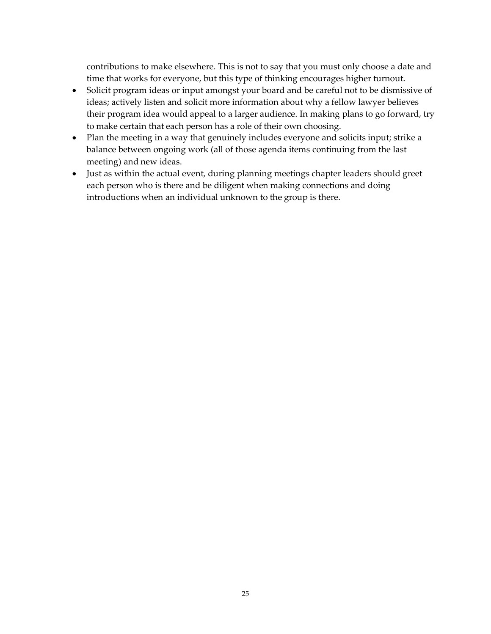contributions to make elsewhere. This is not to say that you must only choose a date and time that works for everyone, but this type of thinking encourages higher turnout.

- Solicit program ideas or input amongst your board and be careful not to be dismissive of ideas; actively listen and solicit more information about why a fellow lawyer believes their program idea would appeal to a larger audience. In making plans to go forward, try to make certain that each person has a role of their own choosing.
- Plan the meeting in a way that genuinely includes everyone and solicits input; strike a balance between ongoing work (all of those agenda items continuing from the last meeting) and new ideas.
- Just as within the actual event, during planning meetings chapter leaders should greet each person who is there and be diligent when making connections and doing introductions when an individual unknown to the group is there.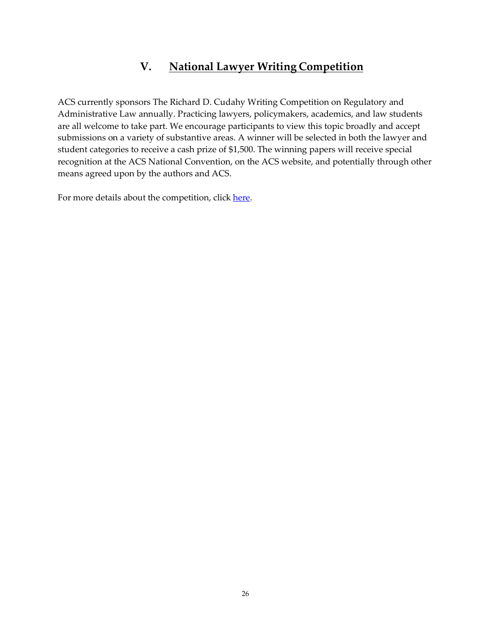# **V. National Lawyer Writing Competition**

ACS currently sponsors The Richard D. Cudahy Writing Competition on Regulatory and Administrative Law annually. Practicing lawyers, policymakers, academics, and law students are all welcome to take part. We encourage participants to view this topic broadly and accept submissions on a variety of substantive areas. A winner will be selected in both the lawyer and student categories to receive a cash prize of \$1,500. The winning papers will receive special recognition at the ACS National Convention, on the ACS website, and potentially through other means agreed upon by the authors and ACS.

For more details about the competition, click [here.](https://www.acslaw.org/get-involved/the-richard-d-cudahy-writing-competition-on-regulatory-and-administrative-law/)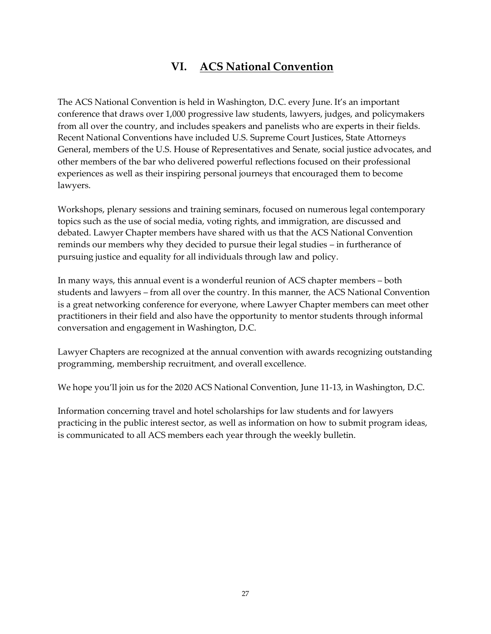# **VI. ACS National Convention**

The ACS National Convention is held in Washington, D.C. every June. It's an important conference that draws over 1,000 progressive law students, lawyers, judges, and policymakers from all over the country, and includes speakers and panelists who are experts in their fields. Recent National Conventions have included U.S. Supreme Court Justices, State Attorneys General, members of the U.S. House of Representatives and Senate, social justice advocates, and other members of the bar who delivered powerful reflections focused on their professional experiences as well as their inspiring personal journeys that encouraged them to become lawyers.

Workshops, plenary sessions and training seminars, focused on numerous legal contemporary topics such as the use of social media, voting rights, and immigration, are discussed and debated. Lawyer Chapter members have shared with us that the ACS National Convention reminds our members why they decided to pursue their legal studies – in furtherance of pursuing justice and equality for all individuals through law and policy.

In many ways, this annual event is a wonderful reunion of ACS chapter members – both students and lawyers – from all over the country. In this manner, the ACS National Convention is a great networking conference for everyone, where Lawyer Chapter members can meet other practitioners in their field and also have the opportunity to mentor students through informal conversation and engagement in Washington, D.C.

Lawyer Chapters are recognized at the annual convention with awards recognizing outstanding programming, membership recruitment, and overall excellence.

We hope you'll join us for the 2020 ACS National Convention, June 11-13, in Washington, D.C.

Information concerning travel and hotel scholarships for law students and for lawyers practicing in the public interest sector, as well as information on how to submit program ideas, is communicated to all ACS members each year through the weekly bulletin.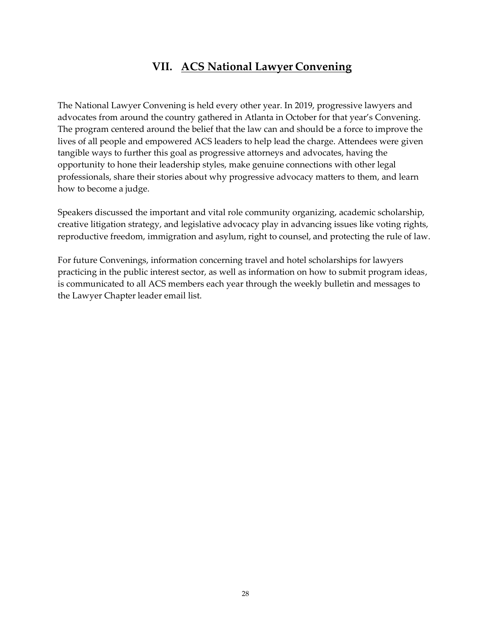# **VII. ACS National Lawyer Convening**

The National Lawyer Convening is held every other year. In 2019, progressive lawyers and advocates from around the country gathered in Atlanta in October for that year's Convening. The program centered around the belief that the law can and should be a force to improve the lives of all people and empowered ACS leaders to help lead the charge. Attendees were given tangible ways to further this goal as progressive attorneys and advocates, having the opportunity to hone their leadership styles, make genuine connections with other legal professionals, share their stories about why progressive advocacy matters to them, and learn how to become a judge.

Speakers discussed the important and vital role community organizing, academic scholarship, creative litigation strategy, and legislative advocacy play in advancing issues like voting rights, reproductive freedom, immigration and asylum, right to counsel, and protecting the rule of law.

For future Convenings, information concerning travel and hotel scholarships for lawyers practicing in the public interest sector, as well as information on how to submit program ideas, is communicated to all ACS members each year through the weekly bulletin and messages to the Lawyer Chapter leader email list.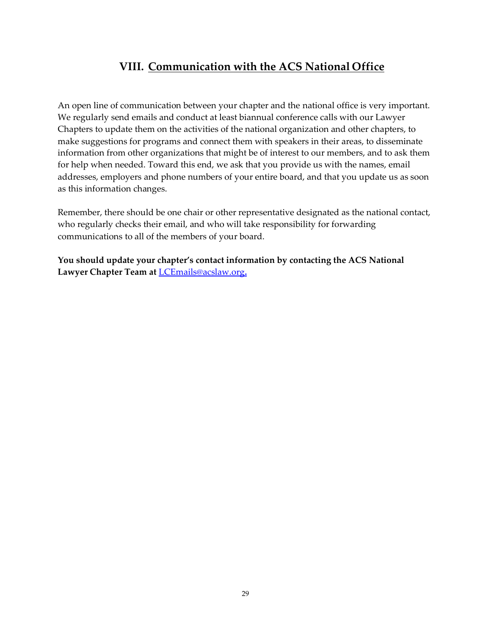# **VIII. Communication with the ACS National Office**

An open line of communication between your chapter and the national office is very important. We regularly send emails and conduct at least biannual conference calls with our Lawyer Chapters to update them on the activities of the national organization and other chapters, to make suggestions for programs and connect them with speakers in their areas, to disseminate information from other organizations that might be of interest to our members, and to ask them for help when needed. Toward this end, we ask that you provide us with the names, email addresses, employers and phone numbers of your entire board, and that you update us as soon as this information changes.

Remember, there should be one chair or other representative designated as the national contact, who regularly checks their email, and who will take responsibility for forwarding communications to all of the members of your board.

**You should update your chapter's contact information by contacting the ACS National Lawyer Chapter Team at** [LCEmails@acslaw.org](mailto:LCEmails@acslaw.org)**.**